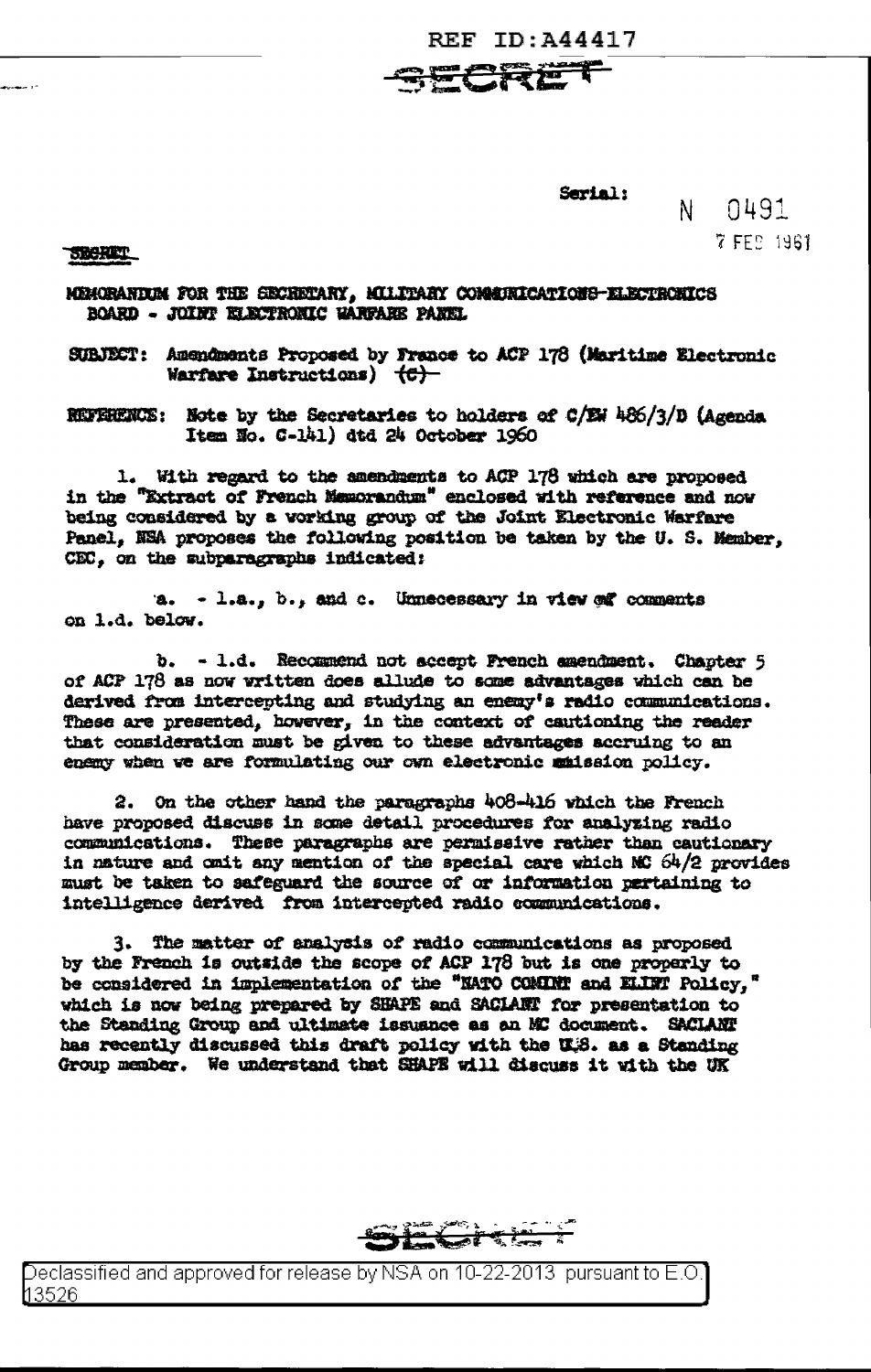**REF ID:A44417** 

CRE

Serial:

0491 N -7 FEB 1961

SECRET

MEMORANDUM FOR THE SECRETARY, MILITARY COMMUNICATIONS-ELECTRONICS BOARD - JOINT ELECTRONIC WARFARE PANEL

SUBJECT: Amendments Proposed by France to ACP 178 (Maritime Electronic Warfare Instructions)  $\{C\}$ -

REFREENCE: Note by the Secretaries to holders of  $C/EH$  486/3/D (Agenda Item No.  $C-141$ ) dtd 24 October 1960

1. With regard to the amendments to ACP 178 which are proposed in the "Extract of French Memorandum" enclosed with reference and now being considered by a working group of the Joint Electronic Warfare Panel. NEA proposes the following position be taken by the U.S. Member. CEC. on the subparegraphs indicated:

a.  $-1.a., b., and c.$  Unnecessary in view of comments on 1.d. below.

b. - 1.d. Recommend not secept French amendment. Chapter 5 of ACP 178 as now written does allude to some advantages which can be derived from intercepting and studying an enemy's radio communications. These are presented, however, in the context of cautioning the reader that consideration must be given to these advantages accruing to an enemy when we are formulating our own electronic mmission policy.

2. On the other hand the paragraphs 408-416 which the French have proposed discuss in some detail procedures for analyzing radio communications. These paragraphs are permissive rather than cautionary in nature and omit any mention of the special care which MG 64/2 provides must be taken to safeguard the source of or information pertaining to intelligence derived from intercepted radio communications.

3. The matter of analysis of radio communications as proposed by the French is outside the scope of ACP 178 but is one properly to be considered in implementation of the "NATO COMINT and ELIMI Policy," which is now being prepared by SHAPE and SACIANY for presentation to the Standing Group and ultimate issuance as an MC document. SACLANT has recently discussed this draft policy with the U.S. as a Standing Group member. We understand that SHAPE will discuss it with the UK

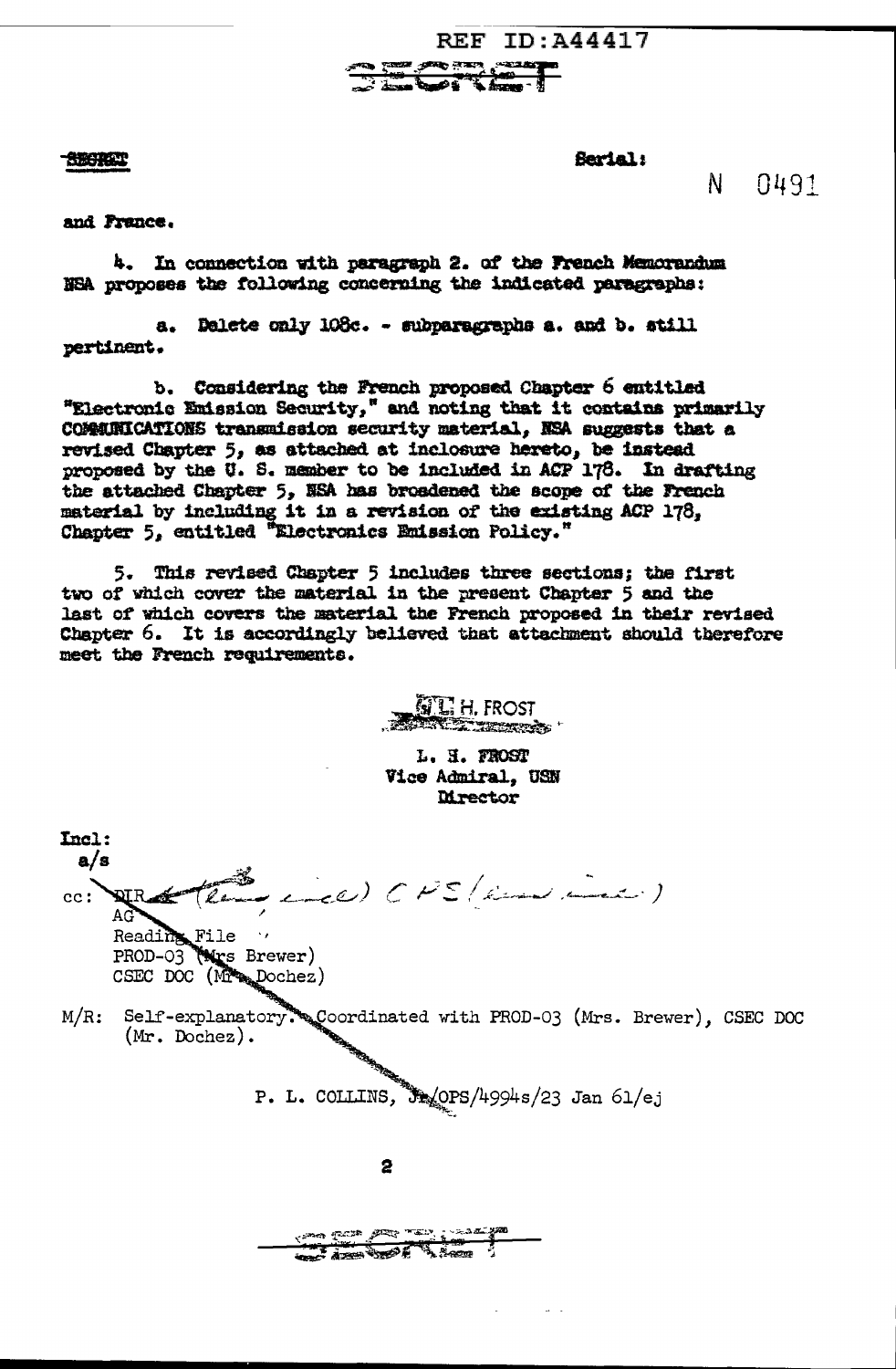**REF ID: A44417 Reviews** ⊋ಕ್

**SECRET** 

Serial:

 $\mathsf{N}$ 0491

and France.

4. In connection with paragraph 2. of the French Memorandum NSA proposes the following concerning the indicated paragraphs:

a. Delete only 108c. - subparagraphs a. and b. still pertinent.

b. Considering the French proposed Chapter 6 entitled "Electronic Emission Security," and noting that it contains primarily COMMUNICATIONS transmission security material, NSA suggests that a revised Chapter 5, as attached at inclosure hereto, be instead proposed by the U. S. member to be included in ACP 178. In drafting the attached Chapter 5, NSA has broadened the scope of the French material by including it in a revision of the existing ACP 178, Chapter 5, entitled "Electronics Emission Policy."

5. This revised Chapter 5 includes three sections; the first two of which cover the material in the present Chapter 5 and the last of which covers the material the French proposed in their revised Chapter 6. It is accordingly believed that attachment should therefore meet the French requirements.

 $\mathbf{GL}$  H. FROST **The Second Second Contract of Contract Contract Only 1999** 

L. H. FROST Vice Admiral, USN **Mrector** 

Incl:  $a/a$ (incl) CPS (indicid) **NIR**  $cc:$ AG Reading File PROD-03 (Mrs Brewer) CSEC DOC (MAppochez) Self-explanatory. Coordinated with PROD-03 (Mrs. Brewer), CSEC DOC  $M/R$ :  $(Mr. Dochez).$ P. L. COLLINS, 32/OPS/4994s/23 Jan 61/ej 2 **Communication**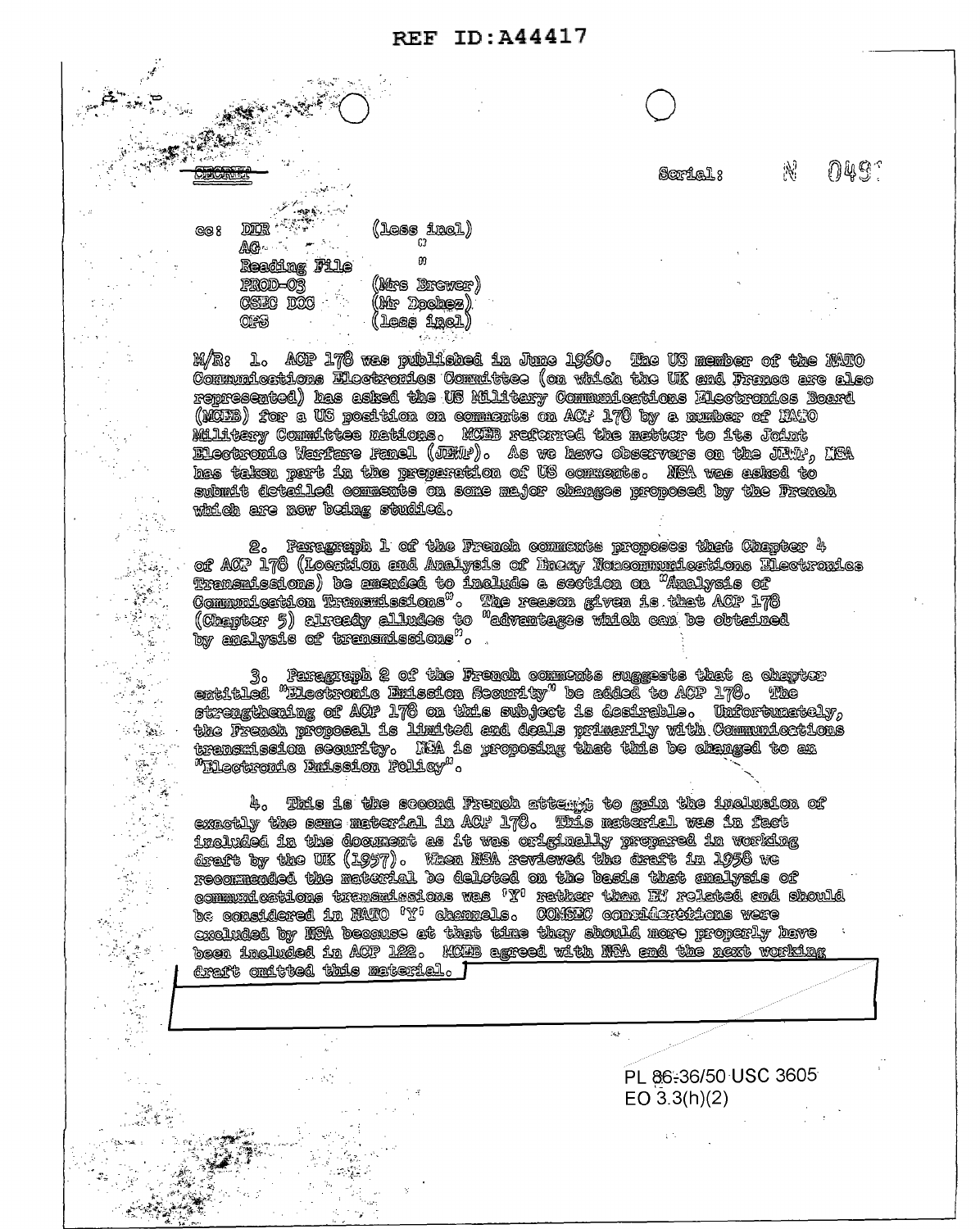## REF ID: A44417

Serial 8

กแรา

 $\mathbb{N}$ 

 $\mathbb{R}^{k \times n}$ **DICE** Fig. (less imel)<br>0  $QQ$ Reading File m (Mre Brewer) PROD-03 (Mr Dochez) CSEC DOC  $(\text{long } \text{final})$ QFS

 $\sim$  5.2 s  $^{-1}$  .

l.

 $\label{eq:2} \frac{\partial}{\partial t} \frac{\partial \mathcal{L}}{\partial \mathbf{r}} = \frac{\partial \mathcal{L}}{\partial \mathbf{r}} \frac{\partial \mathcal{L}}{\partial \mathbf{r}} = 0 \,.$ 

ing the sea g. k

 $\frac{\pi}{4}$  ,  $\frac{\pi}{2}$ 

l.<br>No

M/R: 1. ACP 178 was published to June 1960. The US nember of the MATO Communications Electronics Committee (on which the UK and France are also represented) has asked the US Military Communications Electronics Board (MCHB) for a US position on commonts on ACP 178 by a number of HATO Military Committee mations. MORE referred the matter to its Joint Electropic Hartare Fanel (JEMP). As we have observers on the JEMP, HEA hes telsen pert in the preperation of US comments. NEA was asked to submit deteiled comments on some major changes proposed by the French which are now being studied.

2. Fertsprepl 1 of the French comments proposes that Chapter 4 of ACP 178 (Location and Analysis of Brony Noncommunications Hectronics (Cheibres )) cliestly silvates to "edventages which can be obtained<br>Communication Transmissions" . The reason given is that ACP 178<br>Communication Transmissions" . The reason given is that ACP 178<br>Communication ) be anexula by analysis of trensmissions".

the formulae aforming as a common assesses that a formula  $\mathbb{R}^n$  . The contrast energy is a common as a common and  $\mathbb{R}^n$  . The confidence is a constraint of  $\mathbb{R}^n$  and  $\mathbb{R}^n$  and  $\mathbb{R}^n$  . So  $\mathbb{R}^n$ the French proposel is limited and deals primarily with Communications transmission sequrity. IAA is proposing that this be changed to an <sup>m</sup>illectromic limission Policy".

4. This is the socond French sttempt to gain the inclusion of exactly the same material in ACF 178. This material was in fact trainded in the document as it was originally propared in working draft by the UK (1957). When NSA reviewed the draft in 1958 we<br>draft by the UK (1957). When NSA reviewed the draft in 1958 we de considered in Milo 171 channels. COMBIC considerations were excluded by NRA because at that time they should more properly have been included in ACP 122. KCHB agreed with NBA and the next working  $\epsilon$ raft omttted this material.  $\Gamma$ 

as -

PL 86-36/50 USC 3605

EO  $3.3(h)(2)$